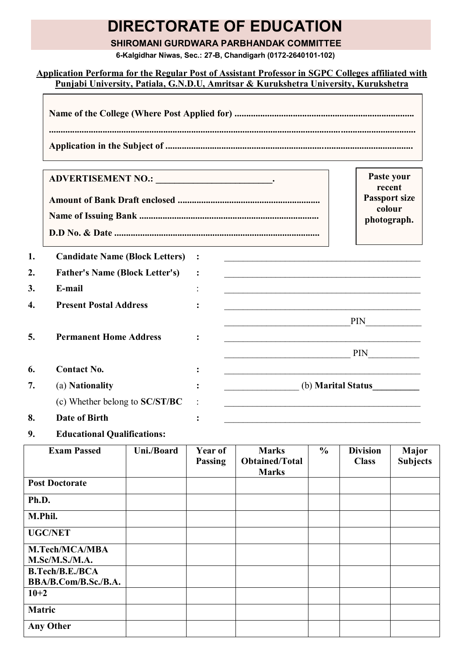# **DIRECTORATE OF EDUCATION**

### **SHIROMANI GURDWARA PARBHANDAK COMMITTEE**

**6-Kalgidhar Niwas, Sec.: 27-B, Chandigarh (0172-2640101-102)**

## **Application Performa for the Regular Post of Assistant Professor in SGPC Colleges affiliated with Punjabi University, Patiala, G.N.D.U, Amritsar & Kurukshetra University, Kurukshetra**

|    | ADVERTISEMENT NO.: ___________________________. |                                                                                                                       | Paste your<br>recent                          |
|----|-------------------------------------------------|-----------------------------------------------------------------------------------------------------------------------|-----------------------------------------------|
|    |                                                 |                                                                                                                       | <b>Passport size</b><br>colour<br>photograph. |
| 1. | <b>Candidate Name (Block Letters) :</b>         | <u> 1989 - Johann John Stone, markin film ar yn y brenin y brenin y brenin y brenin y brenin y brenin y brenin y</u>  |                                               |
| 2. | <b>Father's Name (Block Letter's)</b>           |                                                                                                                       |                                               |
| 3. | E-mail                                          |                                                                                                                       |                                               |
| 4. | <b>Present Postal Address</b>                   |                                                                                                                       |                                               |
|    |                                                 |                                                                                                                       |                                               |
| 5. | <b>Permanent Home Address</b>                   | <u> 1989 - Johann John Stoff, deutscher Stoffen und der Stoffen und der Stoffen und der Stoffen und der Stoffen</u>   |                                               |
|    |                                                 | PIN                                                                                                                   |                                               |
| 6. | <b>Contact No.</b>                              | <u> 1989 - Johann Harry Harry Harry Harry Harry Harry Harry Harry Harry Harry Harry Harry Harry Harry Harry Harry</u> |                                               |
| 7. | (a) Nationality                                 | (b) <b>Marital Status</b>                                                                                             |                                               |
|    | (c) Whether belong to SC/ST/BC                  |                                                                                                                       |                                               |
| 8. | <b>Date of Birth</b>                            |                                                                                                                       |                                               |
|    |                                                 |                                                                                                                       |                                               |

**9. Educational Qualifications:**

**r** 

| <b>Exam Passed</b>     | Uni./Board | Year of<br><b>Passing</b> | <b>Marks</b><br><b>Obtained/Total</b> | $\frac{6}{6}$ | <b>Division</b><br><b>Class</b> | <b>Major</b><br><b>Subjects</b> |
|------------------------|------------|---------------------------|---------------------------------------|---------------|---------------------------------|---------------------------------|
| <b>Post Doctorate</b>  |            |                           | <b>Marks</b>                          |               |                                 |                                 |
|                        |            |                           |                                       |               |                                 |                                 |
| Ph.D.                  |            |                           |                                       |               |                                 |                                 |
| M.Phil.                |            |                           |                                       |               |                                 |                                 |
| <b>UGC/NET</b>         |            |                           |                                       |               |                                 |                                 |
| M.Tech/MCA/MBA         |            |                           |                                       |               |                                 |                                 |
| M.Sc/M.S./M.A.         |            |                           |                                       |               |                                 |                                 |
| <b>B.Tech/B.E./BCA</b> |            |                           |                                       |               |                                 |                                 |
| BBA/B.Com/B.Sc./B.A.   |            |                           |                                       |               |                                 |                                 |
| $10+2$                 |            |                           |                                       |               |                                 |                                 |
| <b>Matric</b>          |            |                           |                                       |               |                                 |                                 |
| <b>Any Other</b>       |            |                           |                                       |               |                                 |                                 |